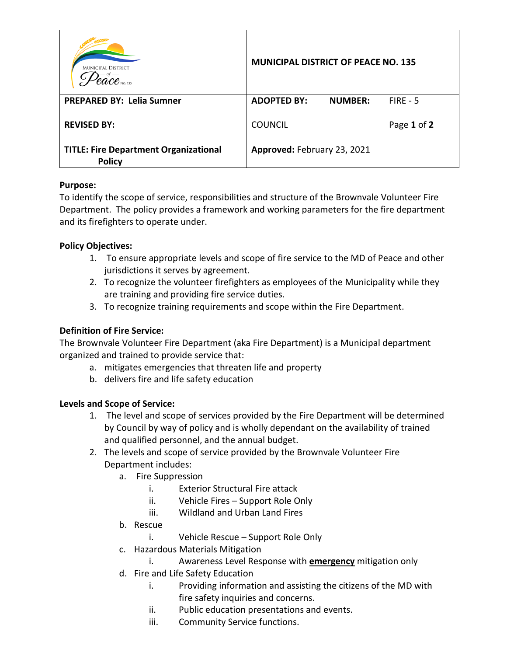| <b>MUNICIPAL DISTRICT</b><br>$ace$ no. 135                    | <b>MUNICIPAL DISTRICT OF PEACE NO. 135</b> |                |             |
|---------------------------------------------------------------|--------------------------------------------|----------------|-------------|
| <b>PREPARED BY: Lelia Sumner</b>                              | <b>ADOPTED BY:</b>                         | <b>NUMBER:</b> | $FIRE - 5$  |
| <b>REVISED BY:</b>                                            | <b>COUNCIL</b>                             |                | Page 1 of 2 |
| <b>TITLE: Fire Department Organizational</b><br><b>Policy</b> | Approved: February 23, 2021                |                |             |

### **Purpose:**

To identify the scope of service, responsibilities and structure of the Brownvale Volunteer Fire Department. The policy provides a framework and working parameters for the fire department and its firefighters to operate under.

## **Policy Objectives:**

- 1. To ensure appropriate levels and scope of fire service to the MD of Peace and other jurisdictions it serves by agreement.
- 2. To recognize the volunteer firefighters as employees of the Municipality while they are training and providing fire service duties.
- 3. To recognize training requirements and scope within the Fire Department.

# **Definition of Fire Service:**

The Brownvale Volunteer Fire Department (aka Fire Department) is a Municipal department organized and trained to provide service that:

- a. mitigates emergencies that threaten life and property
- b. delivers fire and life safety education

### **Levels and Scope of Service:**

- 1. The level and scope of services provided by the Fire Department will be determined by Council by way of policy and is wholly dependant on the availability of trained and qualified personnel, and the annual budget.
- 2. The levels and scope of service provided by the Brownvale Volunteer Fire Department includes:
	- a. Fire Suppression
		- i. Exterior Structural Fire attack
		- ii. Vehicle Fires Support Role Only
		- iii. Wildland and Urban Land Fires
	- b. Rescue
		- i. Vehicle Rescue Support Role Only
	- c. Hazardous Materials Mitigation
		- i. Awareness Level Response with **emergency** mitigation only
	- d. Fire and Life Safety Education
		- i. Providing information and assisting the citizens of the MD with fire safety inquiries and concerns.
		- ii. Public education presentations and events.
		- iii. Community Service functions.